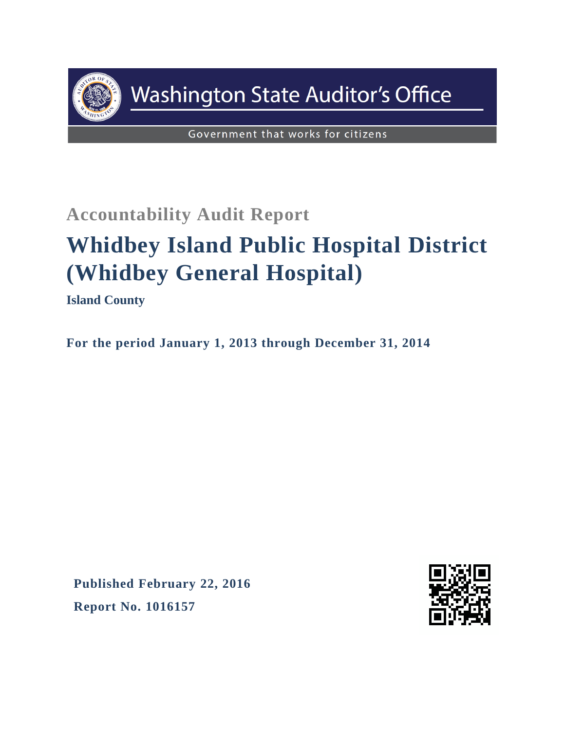

## **Washington State Auditor's Office**

Government that works for citizens

## **Accountability Audit Report**

# **Whidbey Island Public Hospital District (Whidbey General Hospital)**

**Island County**

**For the period January 1, 2013 through December 31, 2014**

**Published February 22, 2016 Report No. 1016157**

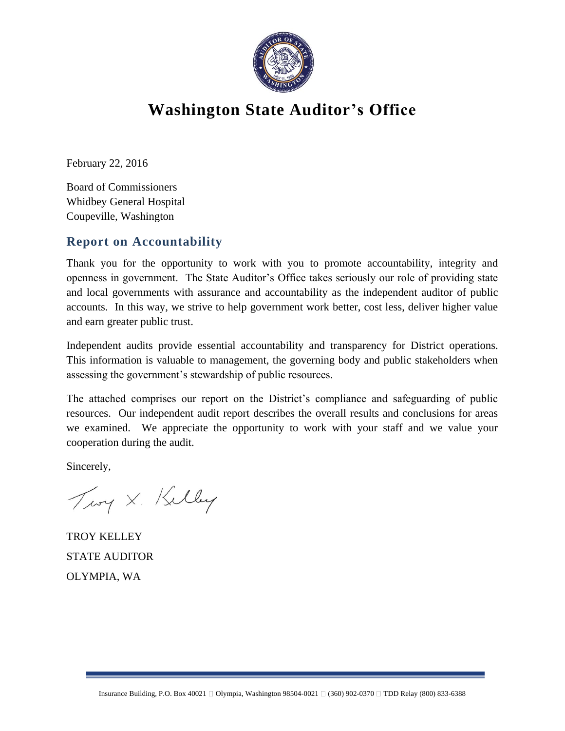

## **Washington State Auditor's Office**

February 22, 2016

Board of Commissioners Whidbey General Hospital Coupeville, Washington

#### **Report on Accountability**

Thank you for the opportunity to work with you to promote accountability, integrity and openness in government. The State Auditor's Office takes seriously our role of providing state and local governments with assurance and accountability as the independent auditor of public accounts. In this way, we strive to help government work better, cost less, deliver higher value and earn greater public trust.

Independent audits provide essential accountability and transparency for District operations. This information is valuable to management, the governing body and public stakeholders when assessing the government's stewardship of public resources.

The attached comprises our report on the District's compliance and safeguarding of public resources. Our independent audit report describes the overall results and conclusions for areas we examined. We appreciate the opportunity to work with your staff and we value your cooperation during the audit.

Sincerely,

Troy X. Kelley

TROY KELLEY STATE AUDITOR OLYMPIA, WA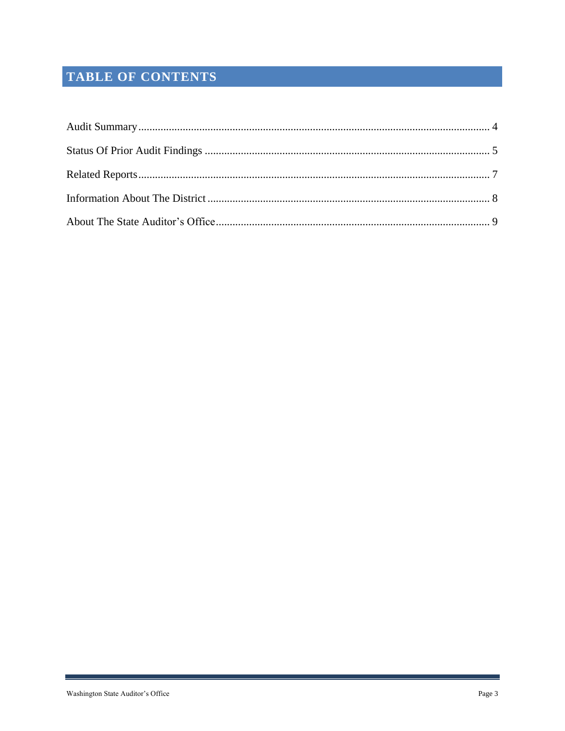### TABLE OF CONTENTS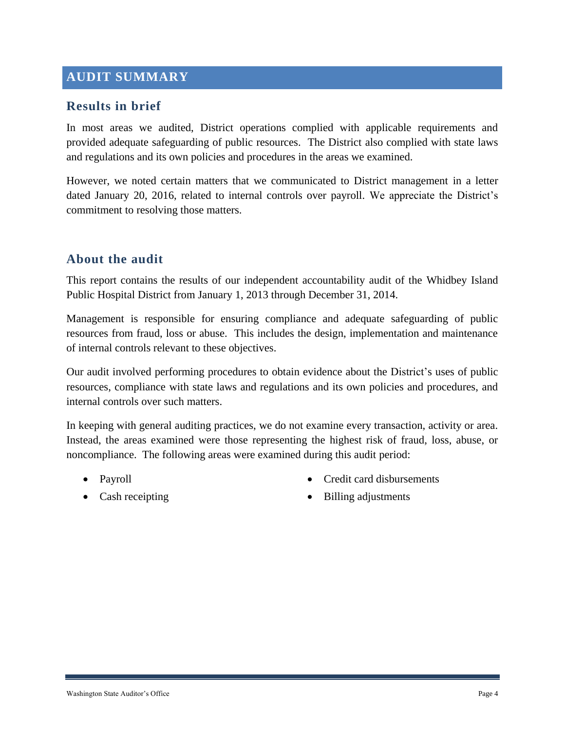#### <span id="page-3-0"></span>**AUDIT SUMMARY**

#### **Results in brief**

In most areas we audited, District operations complied with applicable requirements and provided adequate safeguarding of public resources. The District also complied with state laws and regulations and its own policies and procedures in the areas we examined.

However, we noted certain matters that we communicated to District management in a letter dated January 20, 2016, related to internal controls over payroll. We appreciate the District's commitment to resolving those matters.

#### **About the audit**

This report contains the results of our independent accountability audit of the Whidbey Island Public Hospital District from January 1, 2013 through December 31, 2014.

Management is responsible for ensuring compliance and adequate safeguarding of public resources from fraud, loss or abuse. This includes the design, implementation and maintenance of internal controls relevant to these objectives.

Our audit involved performing procedures to obtain evidence about the District's uses of public resources, compliance with state laws and regulations and its own policies and procedures, and internal controls over such matters.

In keeping with general auditing practices, we do not examine every transaction, activity or area. Instead, the areas examined were those representing the highest risk of fraud, loss, abuse, or noncompliance. The following areas were examined during this audit period:

- Payroll
- Cash receipting
- Credit card disbursements
- Billing adjustments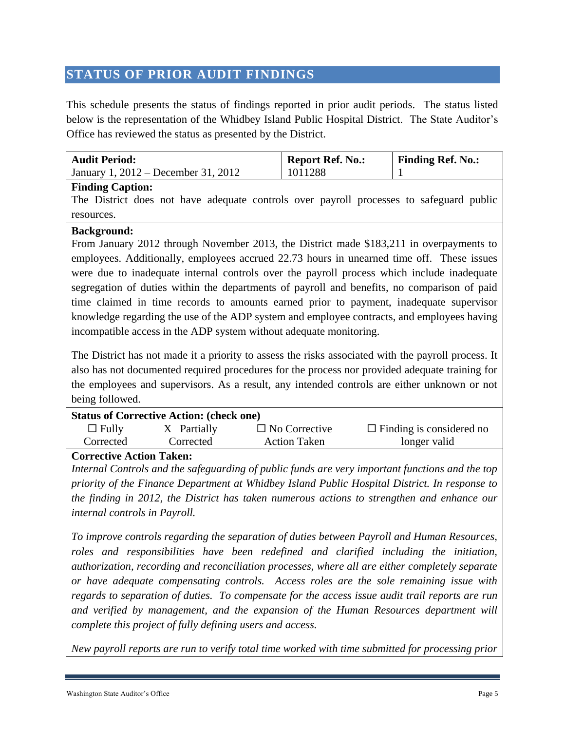#### <span id="page-4-0"></span>**STATUS OF PRIOR AUDIT FINDINGS**

This schedule presents the status of findings reported in prior audit periods. The status listed below is the representation of the Whidbey Island Public Hospital District. The State Auditor's Office has reviewed the status as presented by the District.

| <b>Audit Period:</b>                                                                                                                                                                                                                                                                                                                                                                                                                                                                                                                                                                                                                                                  | <b>Report Ref. No.:</b> | <b>Finding Ref. No.:</b> |  |  |
|-----------------------------------------------------------------------------------------------------------------------------------------------------------------------------------------------------------------------------------------------------------------------------------------------------------------------------------------------------------------------------------------------------------------------------------------------------------------------------------------------------------------------------------------------------------------------------------------------------------------------------------------------------------------------|-------------------------|--------------------------|--|--|
| January 1, 2012 – December 31, 2012                                                                                                                                                                                                                                                                                                                                                                                                                                                                                                                                                                                                                                   | 1011288                 |                          |  |  |
| <b>Finding Caption:</b><br>The District does not have adequate controls over payroll processes to safeguard public                                                                                                                                                                                                                                                                                                                                                                                                                                                                                                                                                    |                         |                          |  |  |
| resources.                                                                                                                                                                                                                                                                                                                                                                                                                                                                                                                                                                                                                                                            |                         |                          |  |  |
| <b>Background:</b><br>From January 2012 through November 2013, the District made \$183,211 in overpayments to<br>employees. Additionally, employees accrued 22.73 hours in unearned time off. These issues<br>were due to inadequate internal controls over the payroll process which include inadequate<br>segregation of duties within the departments of payroll and benefits, no comparison of paid<br>time claimed in time records to amounts earned prior to payment, inadequate supervisor<br>knowledge regarding the use of the ADP system and employee contracts, and employees having<br>incompatible access in the ADP system without adequate monitoring. |                         |                          |  |  |

The District has not made it a priority to assess the risks associated with the payroll process. It also has not documented required procedures for the process nor provided adequate training for the employees and supervisors. As a result, any intended controls are either unknown or not being followed.

| <b>Status of Corrective Action: (check one)</b> |             |                      |                                 |  |  |
|-------------------------------------------------|-------------|----------------------|---------------------------------|--|--|
| $\Box$ Fully                                    | X Partially | $\Box$ No Corrective | $\Box$ Finding is considered no |  |  |
| Corrected                                       | Corrected   | <b>Action Taken</b>  | longer valid                    |  |  |
|                                                 |             |                      |                                 |  |  |

#### **Corrective Action Taken:**

*Internal Controls and the safeguarding of public funds are very important functions and the top priority of the Finance Department at Whidbey Island Public Hospital District. In response to the finding in 2012, the District has taken numerous actions to strengthen and enhance our internal controls in Payroll.* 

*To improve controls regarding the separation of duties between Payroll and Human Resources, roles and responsibilities have been redefined and clarified including the initiation, authorization, recording and reconciliation processes, where all are either completely separate or have adequate compensating controls. Access roles are the sole remaining issue with regards to separation of duties. To compensate for the access issue audit trail reports are run and verified by management, and the expansion of the Human Resources department will complete this project of fully defining users and access.*

*New payroll reports are run to verify total time worked with time submitted for processing prior*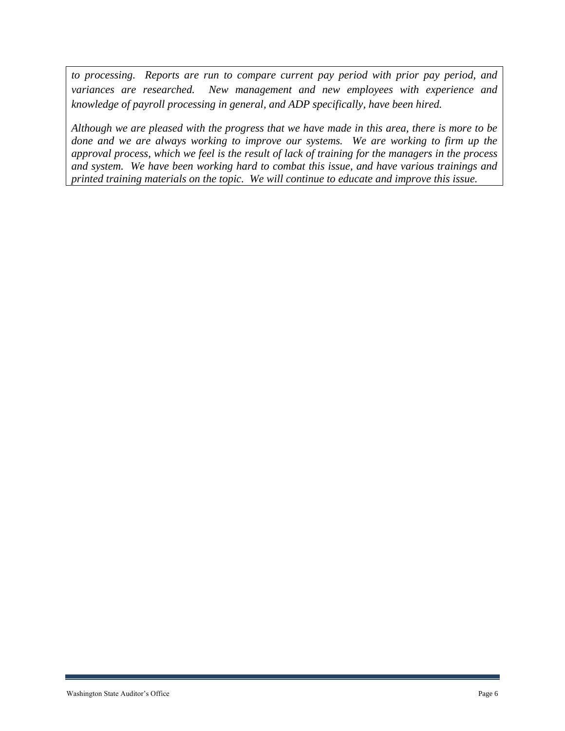*to processing. Reports are run to compare current pay period with prior pay period, and variances are researched. New management and new employees with experience and knowledge of payroll processing in general, and ADP specifically, have been hired.* 

*Although we are pleased with the progress that we have made in this area, there is more to be done and we are always working to improve our systems. We are working to firm up the approval process, which we feel is the result of lack of training for the managers in the process and system. We have been working hard to combat this issue, and have various trainings and printed training materials on the topic. We will continue to educate and improve this issue.*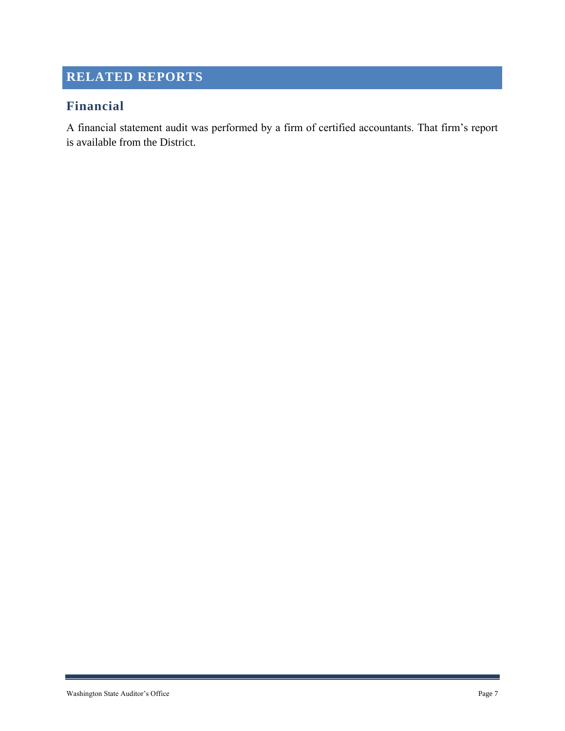### <span id="page-6-0"></span>**RELATED REPORTS**

#### **Financial**

A financial statement audit was performed by a firm of certified accountants. That firm's report is available from the District.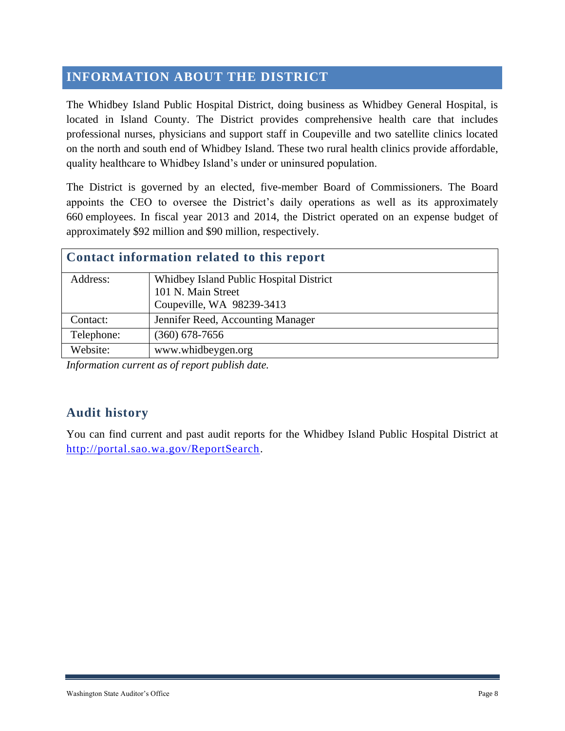#### <span id="page-7-0"></span>**INFORMATION ABOUT THE DISTRICT**

The Whidbey Island Public Hospital District, doing business as Whidbey General Hospital, is located in Island County. The District provides comprehensive health care that includes professional nurses, physicians and support staff in Coupeville and two satellite clinics located on the north and south end of Whidbey Island. These two rural health clinics provide affordable, quality healthcare to Whidbey Island's under or uninsured population.

The District is governed by an elected, five-member Board of Commissioners. The Board appoints the CEO to oversee the District's daily operations as well as its approximately 660 employees. In fiscal year 2013 and 2014, the District operated on an expense budget of approximately \$92 million and \$90 million, respectively.

| Contact information related to this report |  |  |  |  |
|--------------------------------------------|--|--|--|--|
| Whidbey Island Public Hospital District    |  |  |  |  |
| 101 N. Main Street                         |  |  |  |  |
| Coupeville, WA 98239-3413                  |  |  |  |  |
| Jennifer Reed, Accounting Manager          |  |  |  |  |
| $(360)$ 678-7656                           |  |  |  |  |
| www.whidbeygen.org                         |  |  |  |  |
|                                            |  |  |  |  |

*Information current as of report publish date.*

#### **Audit history**

You can find current and past audit reports for the Whidbey Island Public Hospital District at [http://portal.sao.wa.gov/ReportSearch.](http://portal.sao.wa.gov/ReportSearch/?qItemType=1&qItemDesc=Whidbey%20Island%20Public%20Hospital%20District&qItemValue=1466)